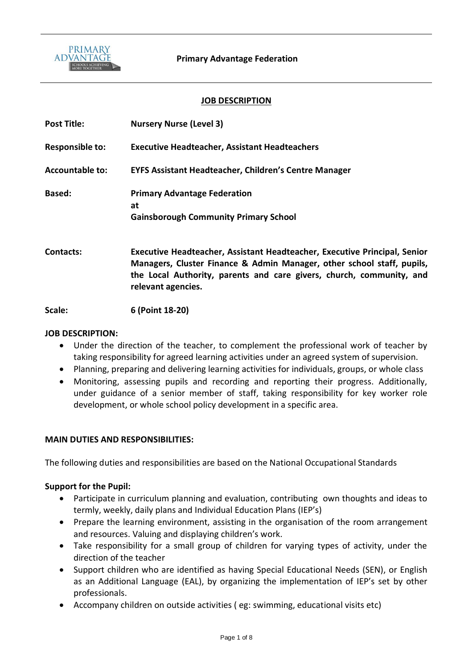

## **JOB DESCRIPTION**

| <b>Post Title:</b>     | <b>Nursery Nurse (Level 3)</b>                                                                                                                                                                                                                    |
|------------------------|---------------------------------------------------------------------------------------------------------------------------------------------------------------------------------------------------------------------------------------------------|
| <b>Responsible to:</b> | <b>Executive Headteacher, Assistant Headteachers</b>                                                                                                                                                                                              |
| <b>Accountable to:</b> | <b>EYFS Assistant Headteacher, Children's Centre Manager</b>                                                                                                                                                                                      |
| <b>Based:</b>          | <b>Primary Advantage Federation</b><br>at<br><b>Gainsborough Community Primary School</b>                                                                                                                                                         |
| Contacts:              | Executive Headteacher, Assistant Headteacher, Executive Principal, Senior<br>Managers, Cluster Finance & Admin Manager, other school staff, pupils,<br>the Local Authority, parents and care givers, church, community, and<br>relevant agencies. |
| Scale:                 | 6 (Point 18-20)                                                                                                                                                                                                                                   |

#### **JOB DESCRIPTION:**

- Under the direction of the teacher, to complement the professional work of teacher by taking responsibility for agreed learning activities under an agreed system of supervision.
- Planning, preparing and delivering learning activities for individuals, groups, or whole class
- Monitoring, assessing pupils and recording and reporting their progress. Additionally, under guidance of a senior member of staff, taking responsibility for key worker role development, or whole school policy development in a specific area.

## **MAIN DUTIES AND RESPONSIBILITIES:**

The following duties and responsibilities are based on the National Occupational Standards

## **Support for the Pupil:**

- Participate in curriculum planning and evaluation, contributing own thoughts and ideas to termly, weekly, daily plans and Individual Education Plans (IEP's)
- Prepare the learning environment, assisting in the organisation of the room arrangement and resources. Valuing and displaying children's work.
- Take responsibility for a small group of children for varying types of activity, under the direction of the teacher
- Support children who are identified as having Special Educational Needs (SEN), or English as an Additional Language (EAL), by organizing the implementation of IEP's set by other professionals.
- Accompany children on outside activities ( eg: swimming, educational visits etc)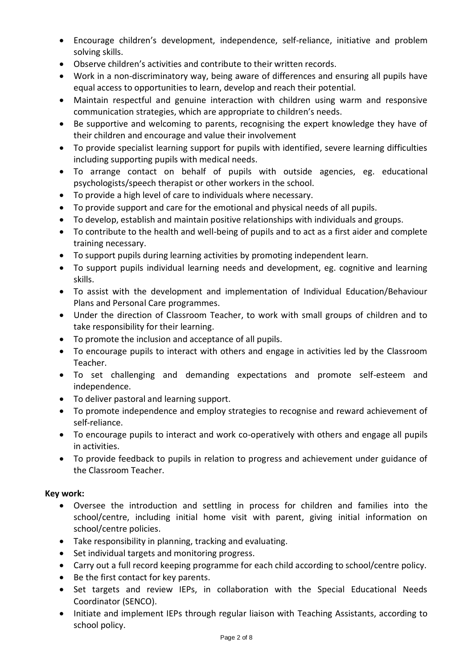- Encourage children's development, independence, self-reliance, initiative and problem solving skills.
- Observe children's activities and contribute to their written records.
- Work in a non-discriminatory way, being aware of differences and ensuring all pupils have equal access to opportunities to learn, develop and reach their potential.
- Maintain respectful and genuine interaction with children using warm and responsive communication strategies, which are appropriate to children's needs.
- Be supportive and welcoming to parents, recognising the expert knowledge they have of their children and encourage and value their involvement
- To provide specialist learning support for pupils with identified, severe learning difficulties including supporting pupils with medical needs.
- To arrange contact on behalf of pupils with outside agencies, eg. educational psychologists/speech therapist or other workers in the school.
- To provide a high level of care to individuals where necessary.
- To provide support and care for the emotional and physical needs of all pupils.
- To develop, establish and maintain positive relationships with individuals and groups.
- To contribute to the health and well-being of pupils and to act as a first aider and complete training necessary.
- To support pupils during learning activities by promoting independent learn.
- To support pupils individual learning needs and development, eg. cognitive and learning skills.
- To assist with the development and implementation of Individual Education/Behaviour Plans and Personal Care programmes.
- Under the direction of Classroom Teacher, to work with small groups of children and to take responsibility for their learning.
- To promote the inclusion and acceptance of all pupils.
- To encourage pupils to interact with others and engage in activities led by the Classroom Teacher.
- To set challenging and demanding expectations and promote self-esteem and independence.
- To deliver pastoral and learning support.
- To promote independence and employ strategies to recognise and reward achievement of self-reliance.
- To encourage pupils to interact and work co-operatively with others and engage all pupils in activities.
- To provide feedback to pupils in relation to progress and achievement under guidance of the Classroom Teacher.

# **Key work:**

- Oversee the introduction and settling in process for children and families into the school/centre, including initial home visit with parent, giving initial information on school/centre policies.
- Take responsibility in planning, tracking and evaluating.
- Set individual targets and monitoring progress.
- Carry out a full record keeping programme for each child according to school/centre policy.
- Be the first contact for key parents.
- Set targets and review IEPs, in collaboration with the Special Educational Needs Coordinator (SENCO).
- Initiate and implement IEPs through regular liaison with Teaching Assistants, according to school policy.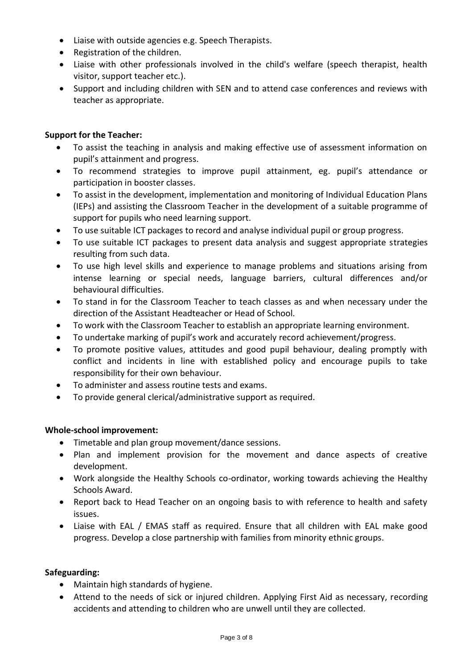- Liaise with outside agencies e.g. Speech Therapists.
- Registration of the children.
- Liaise with other professionals involved in the child's welfare (speech therapist, health visitor, support teacher etc.).
- Support and including children with SEN and to attend case conferences and reviews with teacher as appropriate.

# **Support for the Teacher:**

- To assist the teaching in analysis and making effective use of assessment information on pupil's attainment and progress.
- To recommend strategies to improve pupil attainment, eg. pupil's attendance or participation in booster classes.
- To assist in the development, implementation and monitoring of Individual Education Plans (IEPs) and assisting the Classroom Teacher in the development of a suitable programme of support for pupils who need learning support.
- To use suitable ICT packages to record and analyse individual pupil or group progress.
- To use suitable ICT packages to present data analysis and suggest appropriate strategies resulting from such data.
- To use high level skills and experience to manage problems and situations arising from intense learning or special needs, language barriers, cultural differences and/or behavioural difficulties.
- To stand in for the Classroom Teacher to teach classes as and when necessary under the direction of the Assistant Headteacher or Head of School.
- To work with the Classroom Teacher to establish an appropriate learning environment.
- To undertake marking of pupil's work and accurately record achievement/progress.
- To promote positive values, attitudes and good pupil behaviour, dealing promptly with conflict and incidents in line with established policy and encourage pupils to take responsibility for their own behaviour.
- To administer and assess routine tests and exams.
- To provide general clerical/administrative support as required.

# **Whole-school improvement:**

- Timetable and plan group movement/dance sessions.
- Plan and implement provision for the movement and dance aspects of creative development.
- Work alongside the Healthy Schools co-ordinator, working towards achieving the Healthy Schools Award.
- Report back to Head Teacher on an ongoing basis to with reference to health and safety issues.
- Liaise with EAL / EMAS staff as required. Ensure that all children with EAL make good progress. Develop a close partnership with families from minority ethnic groups.

# **Safeguarding:**

- Maintain high standards of hygiene.
- Attend to the needs of sick or injured children. Applying First Aid as necessary, recording accidents and attending to children who are unwell until they are collected.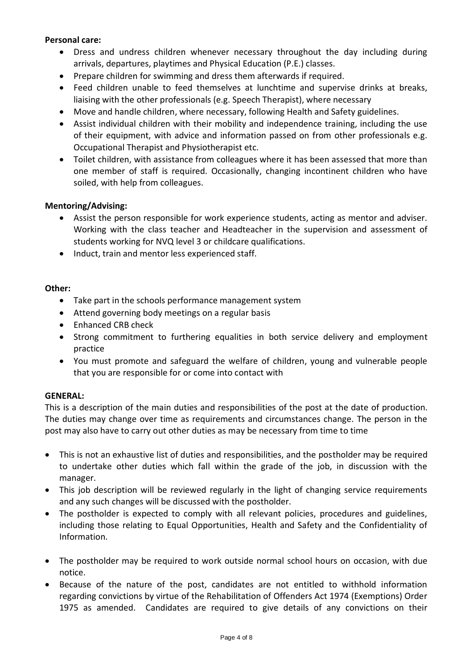## **Personal care:**

- Dress and undress children whenever necessary throughout the day including during arrivals, departures, playtimes and Physical Education (P.E.) classes.
- Prepare children for swimming and dress them afterwards if required.
- Feed children unable to feed themselves at lunchtime and supervise drinks at breaks, liaising with the other professionals (e.g. Speech Therapist), where necessary
- Move and handle children, where necessary, following Health and Safety guidelines.
- Assist individual children with their mobility and independence training, including the use of their equipment, with advice and information passed on from other professionals e.g. Occupational Therapist and Physiotherapist etc.
- Toilet children, with assistance from colleagues where it has been assessed that more than one member of staff is required. Occasionally, changing incontinent children who have soiled, with help from colleagues.

# **Mentoring/Advising:**

- Assist the person responsible for work experience students, acting as mentor and adviser. Working with the class teacher and Headteacher in the supervision and assessment of students working for NVQ level 3 or childcare qualifications.
- Induct, train and mentor less experienced staff.

# **Other:**

- Take part in the schools performance management system
- Attend governing body meetings on a regular basis
- Enhanced CRB check
- Strong commitment to furthering equalities in both service delivery and employment practice
- You must promote and safeguard the welfare of children, young and vulnerable people that you are responsible for or come into contact with

## **GENERAL:**

This is a description of the main duties and responsibilities of the post at the date of production. The duties may change over time as requirements and circumstances change. The person in the post may also have to carry out other duties as may be necessary from time to time

- This is not an exhaustive list of duties and responsibilities, and the postholder may be required to undertake other duties which fall within the grade of the job, in discussion with the manager.
- This job description will be reviewed regularly in the light of changing service requirements and any such changes will be discussed with the postholder.
- The postholder is expected to comply with all relevant policies, procedures and guidelines, including those relating to Equal Opportunities, Health and Safety and the Confidentiality of Information.
- The postholder may be required to work outside normal school hours on occasion, with due notice.
- Because of the nature of the post, candidates are not entitled to withhold information regarding convictions by virtue of the Rehabilitation of Offenders Act 1974 (Exemptions) Order 1975 as amended. Candidates are required to give details of any convictions on their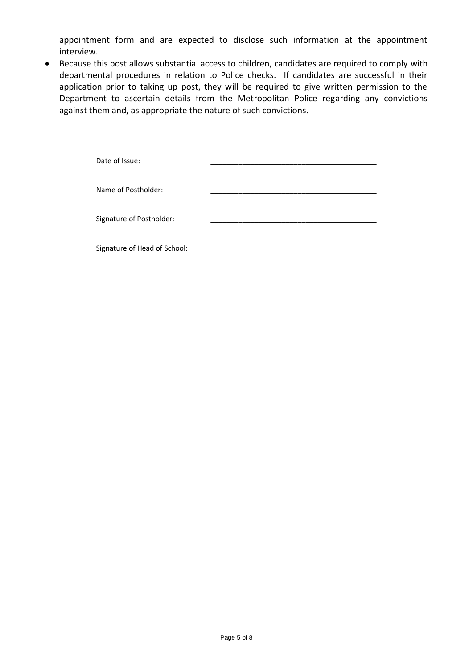appointment form and are expected to disclose such information at the appointment interview.

• Because this post allows substantial access to children, candidates are required to comply with departmental procedures in relation to Police checks. If candidates are successful in their application prior to taking up post, they will be required to give written permission to the Department to ascertain details from the Metropolitan Police regarding any convictions against them and, as appropriate the nature of such convictions.

| Date of Issue:               |  |
|------------------------------|--|
| Name of Postholder:          |  |
| Signature of Postholder:     |  |
| Signature of Head of School: |  |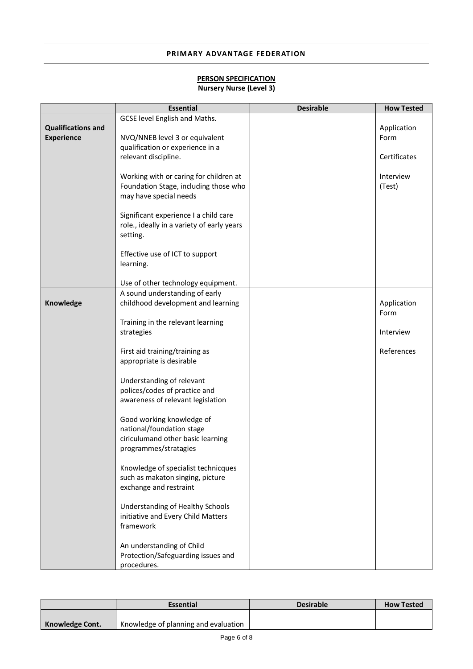## **PRIMARY ADVANTAGE FEDERATION**

## **PERSON SPECIFICATION**

# **Nursery Nurse (Level 3)**

|                           | <b>Essential</b>                           | <b>Desirable</b> | <b>How Tested</b> |
|---------------------------|--------------------------------------------|------------------|-------------------|
|                           | GCSE level English and Maths.              |                  |                   |
| <b>Qualifications and</b> |                                            |                  | Application       |
| <b>Experience</b>         | NVQ/NNEB level 3 or equivalent             |                  | Form              |
|                           | qualification or experience in a           |                  |                   |
|                           | relevant discipline.                       |                  | Certificates      |
|                           |                                            |                  |                   |
|                           | Working with or caring for children at     |                  | Interview         |
|                           | Foundation Stage, including those who      |                  | (Test)            |
|                           | may have special needs                     |                  |                   |
|                           |                                            |                  |                   |
|                           | Significant experience I a child care      |                  |                   |
|                           | role., ideally in a variety of early years |                  |                   |
|                           | setting.                                   |                  |                   |
|                           |                                            |                  |                   |
|                           | Effective use of ICT to support            |                  |                   |
|                           | learning.                                  |                  |                   |
|                           |                                            |                  |                   |
|                           | Use of other technology equipment.         |                  |                   |
|                           | A sound understanding of early             |                  |                   |
| Knowledge                 | childhood development and learning         |                  | Application       |
|                           |                                            |                  | Form              |
|                           | Training in the relevant learning          |                  |                   |
|                           | strategies                                 |                  | Interview         |
|                           |                                            |                  |                   |
|                           | First aid training/training as             |                  | References        |
|                           | appropriate is desirable                   |                  |                   |
|                           |                                            |                  |                   |
|                           | Understanding of relevant                  |                  |                   |
|                           | polices/codes of practice and              |                  |                   |
|                           | awareness of relevant legislation          |                  |                   |
|                           |                                            |                  |                   |
|                           | Good working knowledge of                  |                  |                   |
|                           | national/foundation stage                  |                  |                   |
|                           | ciriculumand other basic learning          |                  |                   |
|                           | programmes/stratagies                      |                  |                   |
|                           |                                            |                  |                   |
|                           | Knowledge of specialist technicques        |                  |                   |
|                           | such as makaton singing, picture           |                  |                   |
|                           | exchange and restraint                     |                  |                   |
|                           |                                            |                  |                   |
|                           | Understanding of Healthy Schools           |                  |                   |
|                           | initiative and Every Child Matters         |                  |                   |
|                           | framework                                  |                  |                   |
|                           |                                            |                  |                   |
|                           | An understanding of Child                  |                  |                   |
|                           | Protection/Safeguarding issues and         |                  |                   |
|                           | procedures.                                |                  |                   |

|                 | <b>Essential</b>                     | <b>Desirable</b> | <b>How Tested</b> |
|-----------------|--------------------------------------|------------------|-------------------|
|                 | Knowledge of planning and evaluation |                  |                   |
| Knowledge Cont. |                                      |                  |                   |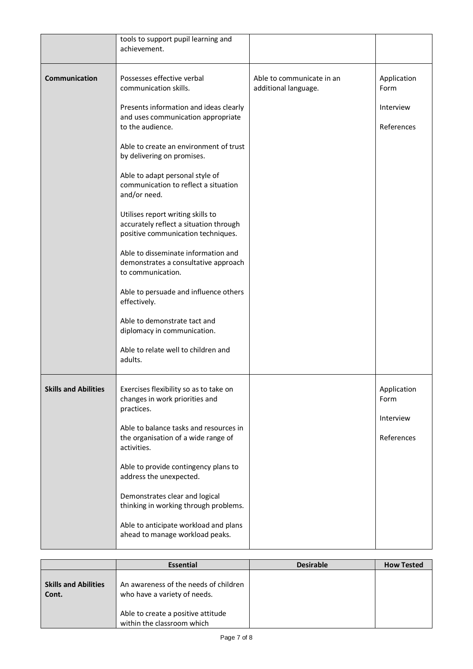|                             | tools to support pupil learning and<br>achievement.                                                               |                                                   |                     |
|-----------------------------|-------------------------------------------------------------------------------------------------------------------|---------------------------------------------------|---------------------|
| Communication               | Possesses effective verbal<br>communication skills.                                                               | Able to communicate in an<br>additional language. | Application<br>Form |
|                             | Presents information and ideas clearly<br>and uses communication appropriate                                      |                                                   | Interview           |
|                             | to the audience.                                                                                                  |                                                   | References          |
|                             | Able to create an environment of trust<br>by delivering on promises.                                              |                                                   |                     |
|                             | Able to adapt personal style of<br>communication to reflect a situation<br>and/or need.                           |                                                   |                     |
|                             | Utilises report writing skills to<br>accurately reflect a situation through<br>positive communication techniques. |                                                   |                     |
|                             | Able to disseminate information and<br>demonstrates a consultative approach<br>to communication.                  |                                                   |                     |
|                             | Able to persuade and influence others<br>effectively.                                                             |                                                   |                     |
|                             | Able to demonstrate tact and<br>diplomacy in communication.                                                       |                                                   |                     |
|                             | Able to relate well to children and<br>adults.                                                                    |                                                   |                     |
| <b>Skills and Abilities</b> | Exercises flexibility so as to take on<br>changes in work priorities and<br>practices.                            |                                                   | Application<br>Form |
|                             | Able to balance tasks and resources in                                                                            |                                                   | Interview           |
|                             | the organisation of a wide range of<br>activities.                                                                |                                                   | References          |
|                             | Able to provide contingency plans to<br>address the unexpected.                                                   |                                                   |                     |
|                             | Demonstrates clear and logical<br>thinking in working through problems.                                           |                                                   |                     |
|                             | Able to anticipate workload and plans<br>ahead to manage workload peaks.                                          |                                                   |                     |

|                                      | <b>Essential</b>                                                      | <b>Desirable</b> | <b>How Tested</b> |
|--------------------------------------|-----------------------------------------------------------------------|------------------|-------------------|
| <b>Skills and Abilities</b><br>Cont. | An awareness of the needs of children<br>who have a variety of needs. |                  |                   |
|                                      | Able to create a positive attitude<br>within the classroom which      |                  |                   |